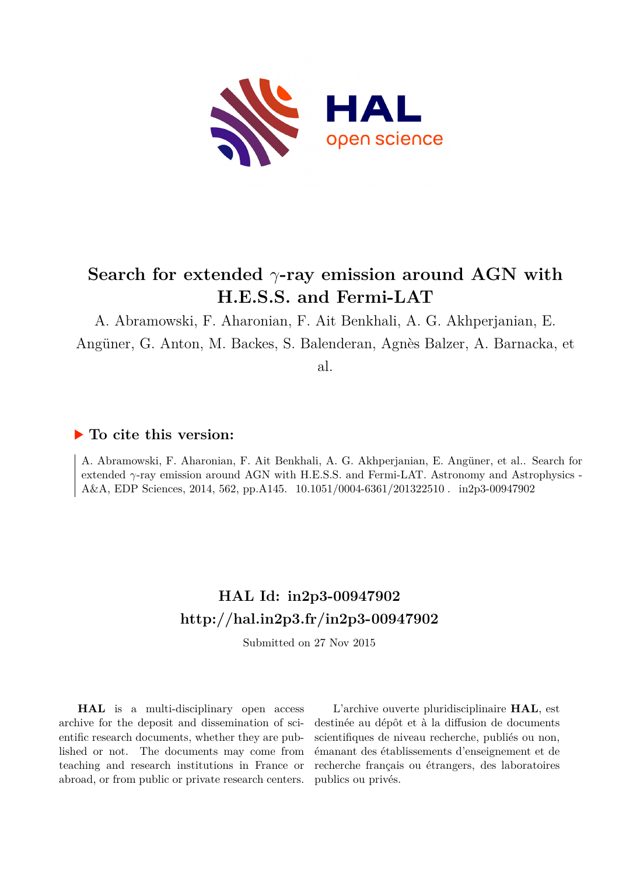

# **Search for extended** *γ***-ray emission around AGN with H.E.S.S. and Fermi-LAT**

A. Abramowski, F. Aharonian, F. Ait Benkhali, A. G. Akhperjanian, E.

Angüner, G. Anton, M. Backes, S. Balenderan, Agnès Balzer, A. Barnacka, et

al.

## **To cite this version:**

A. Abramowski, F. Aharonian, F. Ait Benkhali, A. G. Akhperjanian, E. Angüner, et al.. Search for extended *γ*-ray emission around AGN with H.E.S.S. and Fermi-LAT. Astronomy and Astrophysics - A&A, EDP Sciences, 2014, 562, pp.A145. 10.1051/0004-6361/201322510 . in2p3-00947902

# **HAL Id: in2p3-00947902 <http://hal.in2p3.fr/in2p3-00947902>**

Submitted on 27 Nov 2015

**HAL** is a multi-disciplinary open access archive for the deposit and dissemination of scientific research documents, whether they are published or not. The documents may come from teaching and research institutions in France or abroad, or from public or private research centers.

L'archive ouverte pluridisciplinaire **HAL**, est destinée au dépôt et à la diffusion de documents scientifiques de niveau recherche, publiés ou non, émanant des établissements d'enseignement et de recherche français ou étrangers, des laboratoires publics ou privés.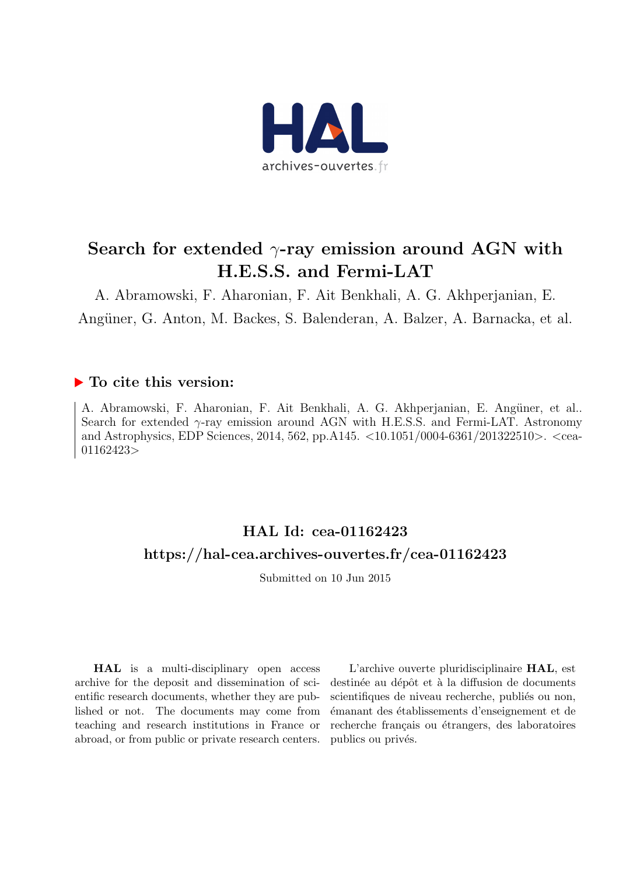

# Search for extended  $\gamma$ -ray emission around AGN with H.E.S.S. and Fermi-LAT

A. Abramowski, F. Aharonian, F. Ait Benkhali, A. G. Akhperjanian, E. Angüner, G. Anton, M. Backes, S. Balenderan, A. Balzer, A. Barnacka, et al.

## ▶ To cite this version:

A. Abramowski, F. Aharonian, F. Ait Benkhali, A. G. Akhperjanian, E. Angüner, et al.. Search for extended  $\gamma$ -ray emission around AGN with H.E.S.S. and Fermi-LAT. Astronomy and Astrophysics, EDP Sciences, 2014, 562, pp.A145. <10.1051/0004-6361/201322510>. <cea-01162423>

# HAL Id: cea-01162423 <https://hal-cea.archives-ouvertes.fr/cea-01162423>

Submitted on 10 Jun 2015

HAL is a multi-disciplinary open access archive for the deposit and dissemination of scientific research documents, whether they are published or not. The documents may come from teaching and research institutions in France or abroad, or from public or private research centers.

L'archive ouverte pluridisciplinaire HAL, est destinée au dépôt et à la diffusion de documents scientifiques de niveau recherche, publiés ou non, ´emanant des ´etablissements d'enseignement et de recherche français ou étrangers, des laboratoires publics ou privés.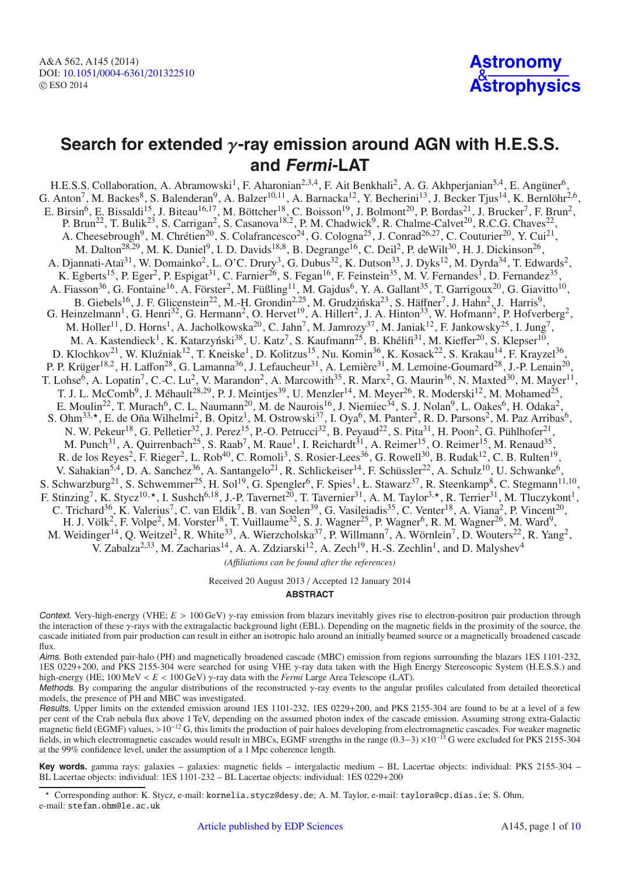# **Search for extended** γ**-ray emission around AGN with H.E.S.S. and Fermi-LAT**

H.E.S.S. Collaboration, A. Abramowski<sup>1</sup>, F. Aharonian<sup>2,3,4</sup>, F. Ait Benkhali<sup>2</sup>, A. G. Akhperjanian<sup>5,4</sup>, E. Angüner<sup>6</sup>, G. Anton<sup>7</sup>, M. Backes<sup>8</sup>, S. Balenderan<sup>9</sup>, A. Balzer<sup>10,11</sup>, A. Barnacka<sup>12</sup>, Y. Becherini<sup>13</sup>, J. Becker Tjus<sup>14</sup>, K. Bernlöhr<sup>2,6</sup>, E. Birsin<sup>6</sup>, E. Bissaldi<sup>15</sup>, J. Biteau<sup>16,17</sup>, M. Böttcher<sup>18</sup>, C. Boisson<sup>19</sup>, J. Bolmont<sup>20</sup>, P. Bordas<sup>21</sup>, J. Brucker<sup>7</sup>, F. Brun<sup>2</sup>, P. Brun<sup>22</sup>, T. Bulik<sup>23</sup>, S. Carrigan<sup>2</sup>, S. Casanova<sup>18,2</sup>, P. M. Chadwick<sup>9</sup>, R. Chalme-Calvet<sup>20</sup>, R.C.G. Chaves<sup>22</sup>, A. Cheesebrough<sup>9</sup>, M. Chrétien<sup>20</sup>, S. Colafrancesco<sup>24</sup>, G. Cologna<sup>25</sup>, J. Conrad<sup>26,27</sup>, C. Couturier<sup>20</sup>, Y. Cui<sup>21</sup>, M. Dalton<sup>28,29</sup>, M. K. Daniel<sup>9</sup>, I. D. Davids<sup>18,8</sup>, B. Degrange<sup>16</sup>, C. Deil<sup>2</sup>, P. deWilt<sup>30</sup>, H. J. Dickinson<sup>26</sup>, A. Djannati-Ataï<sup>31</sup>, W. Domainko<sup>2</sup>, L. O'C. Drury<sup>3</sup>, G. Dubus<sup>32</sup>, K. Dutson<sup>33</sup>, J. Dyks<sup>12</sup>, M. Dyrda<sup>34</sup>, T. Edwards<sup>2</sup>, K. Egberts<sup>15</sup>, P. Eger<sup>2</sup>, P. Espigat<sup>31</sup>, C. Farnier<sup>26</sup>, S. Fegan<sup>16</sup>, F. Feinstein<sup>35</sup>, M. V. Fernandes<sup>1</sup>, D. Fernandez<sup>35</sup>, A. Fiasson<sup>36</sup>, G. Fontaine<sup>16</sup>, A. Förster<sup>2</sup>, M. Füßling<sup>11</sup>, M. Gajdus<sup>6</sup>, Y. A. Gallant<sup>35</sup>, T. Garrigoux<sup>20</sup>, G. Giavitto<sup>10</sup>, B. Giebels<sup>16</sup>, J. F. Glicenstein<sup>22</sup>, M.-H. Grondin<sup>2,25</sup>, M. Grudzińska<sup>23</sup>, S. Häffner<sup>7</sup>, J. Hahn<sup>2</sup>, J. Harris<sup>9</sup>, G. Heinzelmann<sup>1</sup>, G. Henri<sup>32</sup>, G. Hermann<sup>2</sup>, O. Hervet<sup>19</sup>, A. Hillert<sup>2</sup>, J. A. Hinton<sup>33</sup>, W. Hofmann<sup>2</sup>, P. Hofverberg<sup>2</sup>, M. Holler<sup>11</sup>, D. Horns<sup>1</sup>, A. Jacholkowska<sup>20</sup>, C. Jahn<sup>7</sup>, M. Jamrozy<sup>37</sup>, M. Janiak<sup>12</sup>, F. Jankowsky<sup>25</sup>, I. Jung<sup>7</sup>, M. A. Kastendieck<sup>1</sup>, K. Katarzyński<sup>38</sup>, U. Katz<sup>7</sup>, S. Kaufmann<sup>25</sup>, B. Khélifi<sup>31</sup>, M. Kieffer<sup>20</sup>, S. Klepser<sup>10</sup>, D. Klochkov<sup>21</sup>, W. Kluźniak<sup>12</sup>, T. Kneiske<sup>1</sup>, D. Kolitzus<sup>15</sup>, Nu. Komin<sup>36</sup>, K. Kosack<sup>22</sup>, S. Krakau<sup>14</sup>, F. Krayzel<sup>36</sup>, P. P. Krüger<sup>18,2</sup>, H. Laffon<sup>28</sup>, G. Lamanna<sup>36</sup>, J. Lefaucheur<sup>31</sup>, A. Lemière<sup>31</sup>, M. Lemoine-Goumard<sup>28</sup>, J.-P. Lenain<sup>20</sup>, T. Lohse<sup>6</sup>, A. Lopatin<sup>7</sup>, C.-C. Lu<sup>2</sup>, V. Marandon<sup>2</sup>, A. Marcowith<sup>35</sup>, R. Marx<sup>2</sup>, G. Maurin<sup>36</sup>, N. Maxted<sup>30</sup>, M. Mayer<sup>11</sup>, T. J. L. McComb<sup>9</sup>, J. Méhault<sup>28,29</sup>, P. J. Meintjes<sup>39</sup>, U. Menzler<sup>14</sup>, M. Meyer<sup>26</sup>, R. Moderski<sup>12</sup>, M. Mohamed<sup>25</sup>, E. Moulin<sup>22</sup>, T. Murach<sup>6</sup>, C. L. Naumann<sup>20</sup>, M. de Naurois<sup>16</sup>, J. Niemiec<sup>34</sup>, S. J. Nolan<sup>9</sup>, L. Oakes<sup>6</sup>, H. Odaka<sup>2</sup>, S. Ohm<sup>33,\*</sup>, E. de Oña Wilhelmi<sup>2</sup>, B. Opitz<sup>1</sup>, M. Ostrowski<sup>37</sup>, I. Oya<sup>6</sup>, M. Panter<sup>2</sup>, R. D. Parsons<sup>2</sup>, M. Paz Arribas<sup>6</sup>, N. W. Pekeur<sup>18</sup>, G. Pelletier<sup>32</sup>, J. Perez<sup>15</sup>, P.-O. Petrucci<sup>32</sup>, B. Peyaud<sup>22</sup>, S. Pita<sup>31</sup>, H. Poon<sup>2</sup>, G. Pühlhofer<sup>21</sup>, M. Punch<sup>31</sup>, A. Quirrenbach<sup>25</sup>, S. Raab<sup>7</sup>, M. Raue<sup>1</sup>, I. Reichardt<sup>31</sup>, A. Reimer<sup>15</sup>, O. Reimer<sup>15</sup>, M. Renaud<sup>35</sup>, R. de los Reyes<sup>2</sup>, F. Rieger<sup>2</sup>, L. Rob<sup>40</sup>, C. Romoli<sup>3</sup>, S. Rosier-Lees<sup>36</sup>, G. Rowell<sup>30</sup>, B. Rudak<sup>12</sup>, C. B. Rulten<sup>19</sup>, V. Sahakian<sup>5,4</sup>, D. A. Sanchez<sup>36</sup>, A. Santangelo<sup>21</sup>, R. Schlickeiser<sup>14</sup>, F. Schüssler<sup>22</sup>, A. Schulz<sup>10</sup>, U. Schwanke<sup>6</sup>, S. Schwarzburg<sup>21</sup>, S. Schwemmer<sup>25</sup>, H. Sol<sup>19</sup>, G. Spengler<sup>6</sup>, F. Spies<sup>1</sup>, Ł. Stawarz<sup>37</sup>, R. Steenkamp<sup>8</sup>, C. Stegmann<sup>11,10</sup>, F. Stinzing<sup>7</sup>, K. Stycz<sup>10,\*</sup>, I. Sushch<sup>6,18</sup>, J.-P. Tavernet<sup>20</sup>, T. Tavernier<sup>31</sup>, A. M. Taylor<sup>3,\*</sup>, R. Terrier<sup>31</sup>, M. Tluczykont<sup>1</sup>, C. Trichard<sup>36</sup>, K. Valerius<sup>7</sup>, C. van Eldik<sup>7</sup>, B. van Soelen<sup>39</sup>, G. Vasileiadis<sup>35</sup>, C. Venter<sup>18</sup>, A. Viana<sup>2</sup>, P. Vincent<sup>20</sup>, H. J. Völk<sup>2</sup>, F. Volpe<sup>2</sup>, M. Vorster<sup>18</sup>, T. Vuillaume<sup>32</sup>, S. J. Wagner<sup>25</sup>, P. Wagner<sup>6</sup>, R. M. Wagner<sup>26</sup>, M. Ward<sup>9</sup>, M. Weidinger<sup>14</sup>, Q. Weitzel<sup>2</sup>, R. White<sup>33</sup>, A. Wierzcholska<sup>37</sup>, P. Willmann<sup>7</sup>, A. Wörnlein<sup>7</sup>, D. Wouters<sup>22</sup>, R. Yang<sup>2</sup>, V. Zabalza<sup>2,33</sup>, M. Zacharias<sup>14</sup>, A. A. Zdziarski<sup>12</sup>, A. Zech<sup>19</sup>, H.-S. Zechlin<sup>1</sup>, and D. Malyshev<sup>4</sup>

*(A*ffi*liations can be found after the references)*

Received 20 August 2013 / Accepted 12 January 2014

### **ABSTRACT**

Context. Very-high-energy (VHE; *E* > 100 GeV) γ-ray emission from blazars inevitably gives rise to electron-positron pair production through the interaction of these γ-rays with the extragalactic background light (EBL). Depending on the magnetic fields in the proximity of the source, the cascade initiated from pair production can result in either an isotropic halo around an initially beamed source or a magnetically broadened cascade flux.

Aims. Both extended pair-halo (PH) and magnetically broadened cascade (MBC) emission from regions surrounding the blazars 1ES 1101-232, 1ES 0229+200, and PKS 2155-304 were searched for using VHE γ-ray data taken with the High Energy Stereoscopic System (H.E.S.S.) and high-energy (HE; 100 MeV < *E* < 100 GeV) γ-ray data with the *Fermi* Large Area Telescope (LAT).

Methods. By comparing the angular distributions of the reconstructed  $\gamma$ -ray events to the angular profiles calculated from detailed theoretical models, the presence of PH and MBC was investigated.

Results. Upper limits on the extended emission around 1ES 1101-232, 1ES 0229+200, and PKS 2155-304 are found to be at a level of a few per cent of the Crab nebula flux above 1 TeV, depending on the assumed photon index of the cascade emission. Assuming strong extra-Galactic magnetic field (EGMF) values, >10<sup>-12</sup> G, this limits the production of pair haloes developing from electromagnetic cascades. For weaker magnetic fields, in which electromagnetic cascades would result in MBCs, EGMF strengths in the range (0.3−3) ×10−<sup>15</sup> G were excluded for PKS 2155-304 at the 99% confidence level, under the assumption of a 1 Mpc coherence length.

**Key words.** gamma rays: galaxies – galaxies: magnetic fields – intergalactic medium – BL Lacertae objects: individual: PKS 2155-304 – BL Lacertae objects: individual: 1ES 1101-232 – BL Lacertae objects: individual: 1ES 0229+200

- Corresponding author: K. Stycz, e-mail: kornelia.stycz@desy.de; A. M. Taylor, e-mail: taylora@cp.dias.ie; S. Ohm, e-mail: stefan.ohm@le.ac.uk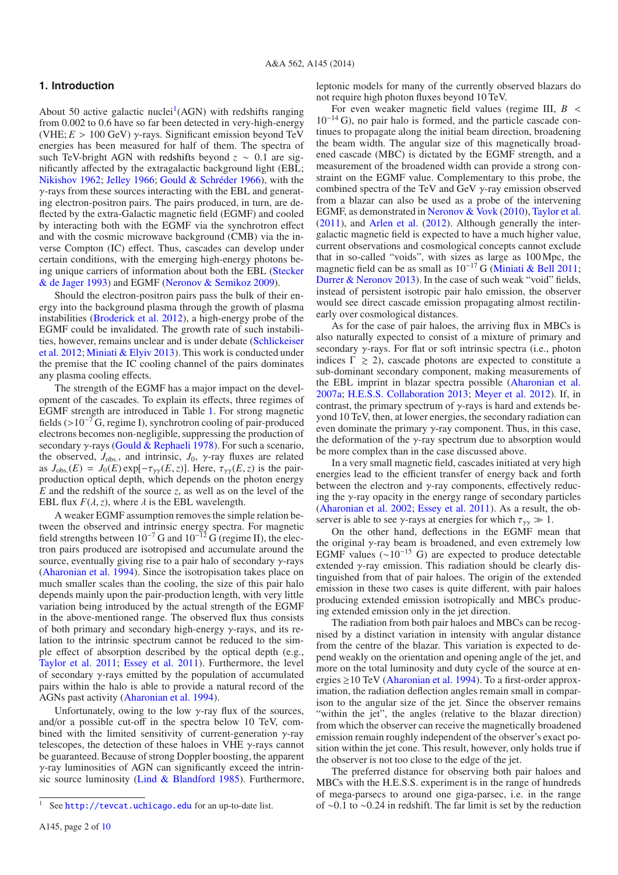### **1. Introduction**

About 50 active galactic nuclei<sup>1</sup>(AGN) with redshifts ranging from 0.002 to 0.6 have so far been detected in very-high-energy (VHE;  $E > 100$  GeV)  $\gamma$ -rays. Significant emission beyond TeV energies has been measured for half of them. The spectra of such TeV-bright AGN with redshifts beyond  $z \sim 0.1$  are significantly affected by the extragalactic background light (EBL; Nikishov 1962; Jelley 1966; Gould & Schréder 1966), with the  $\gamma$ -rays from these sources interacting with the EBL and generating electron-positron pairs. The pairs produced, in turn, are deflected by the extra-Galactic magnetic field (EGMF) and cooled by interacting both with the EGMF via the synchrotron effect and with the cosmic microwave background (CMB) via the inverse Compton (IC) effect. Thus, cascades can develop under certain conditions, with the emerging high-energy photons being unique carriers of information about both the EBL (Stecker & de Jager 1993) and EGMF (Neronov & Semikoz 2009).

Should the electron-positron pairs pass the bulk of their energy into the background plasma through the growth of plasma instabilities (Broderick et al. 2012), a high-energy probe of the EGMF could be invalidated. The growth rate of such instabilities, however, remains unclear and is under debate (Schlickeiser et al. 2012; Miniati & Elyiv 2013). This work is conducted under the premise that the IC cooling channel of the pairs dominates any plasma cooling effects.

The strength of the EGMF has a major impact on the development of the cascades. To explain its effects, three regimes of EGMF strength are introduced in Table 1. For strong magnetic fields  $(>10^{-7}$  G, regime I), synchrotron cooling of pair-produced electrons becomes non-negligible, suppressing the production of secondary γ-rays (Gould & Rephaeli 1978). For such a scenario, the observed,  $J_{obs.}$ , and intrinsic,  $J_0$ ,  $\gamma$ -ray fluxes are related as  $J_{obs}(E) = J_0(E) \exp[-\tau_{\gamma\gamma}(E, z)]$ . Here,  $\tau_{\gamma\gamma}(E, z)$  is the pairproduction optical depth, which depends on the photon energy *E* and the redshift of the source *z*, as well as on the level of the EBL flux  $F(\lambda, z)$ , where  $\lambda$  is the EBL wavelength.

A weaker EGMF assumption removes the simple relation between the observed and intrinsic energy spectra. For magnetic field strengths between  $10^{-7}$  G and  $10^{-12}$  G (regime II), the electron pairs produced are isotropised and accumulate around the source, eventually giving rise to a pair halo of secondary γ-rays (Aharonian et al. 1994). Since the isotropisation takes place on much smaller scales than the cooling, the size of this pair halo depends mainly upon the pair-production length, with very little variation being introduced by the actual strength of the EGMF in the above-mentioned range. The observed flux thus consists of both primary and secondary high-energy  $\gamma$ -rays, and its relation to the intrinsic spectrum cannot be reduced to the simple effect of absorption described by the optical depth (e.g., Taylor et al. 2011; Essey et al. 2011). Furthermore, the level of secondary γ-rays emitted by the population of accumulated pairs within the halo is able to provide a natural record of the AGNs past activity (Aharonian et al. 1994).

Unfortunately, owing to the low  $\gamma$ -ray flux of the sources, and/or a possible cut-off in the spectra below 10 TeV, combined with the limited sensitivity of current-generation  $\gamma$ -ray telescopes, the detection of these haloes in VHE  $\gamma$ -rays cannot be guaranteed. Because of strong Doppler boosting, the apparent  $\gamma$ -ray luminosities of AGN can significantly exceed the intrinsic source luminosity (Lind & Blandford 1985). Furthermore, leptonic models for many of the currently observed blazars do not require high photon fluxes beyond 10 TeV.

For even weaker magnetic field values (regime III, *B* <  $10^{-14}$  G), no pair halo is formed, and the particle cascade continues to propagate along the initial beam direction, broadening the beam width. The angular size of this magnetically broadened cascade (MBC) is dictated by the EGMF strength, and a measurement of the broadened width can provide a strong constraint on the EGMF value. Complementary to this probe, the combined spectra of the TeV and GeV  $\gamma$ -ray emission observed from a blazar can also be used as a probe of the intervening EGMF, as demonstrated in Neronov & Vovk (2010), Taylor et al. (2011), and Arlen et al. (2012). Although generally the intergalactic magnetic field is expected to have a much higher value, current observations and cosmological concepts cannot exclude that in so-called "voids", with sizes as large as 100 Mpc, the magnetic field can be as small as  $10^{-17}$  G (Miniati & Bell 2011; Durrer & Neronov 2013). In the case of such weak "void" fields, instead of persistent isotropic pair halo emission, the observer would see direct cascade emission propagating almost rectilinearly over cosmological distances.

As for the case of pair haloes, the arriving flux in MBCs is also naturally expected to consist of a mixture of primary and secondary γ-rays. For flat or soft intrinsic spectra (i.e., photon indices  $\Gamma \geq 2$ ), cascade photons are expected to constitute a sub-dominant secondary component, making measurements of the EBL imprint in blazar spectra possible (Aharonian et al. 2007a; H.E.S.S. Collaboration 2013; Meyer et al. 2012). If, in contrast, the primary spectrum of  $\gamma$ -rays is hard and extends beyond 10 TeV, then, at lower energies, the secondary radiation can even dominate the primary  $\gamma$ -ray component. Thus, in this case, the deformation of the  $\gamma$ -ray spectrum due to absorption would be more complex than in the case discussed above.

In a very small magnetic field, cascades initiated at very high energies lead to the efficient transfer of energy back and forth between the electron and  $\gamma$ -ray components, effectively reducing the  $\gamma$ -ray opacity in the energy range of secondary particles (Aharonian et al. 2002; Essey et al. 2011). As a result, the observer is able to see  $\gamma$ -rays at energies for which  $\tau_{\gamma\gamma} \gg 1$ .

On the other hand, deflections in the EGMF mean that the original  $\gamma$ -ray beam is broadened, and even extremely low EGMF values  $(\sim 10^{-15} \text{ G})$  are expected to produce detectable extended γ-ray emission. This radiation should be clearly distinguished from that of pair haloes. The origin of the extended emission in these two cases is quite different, with pair haloes producing extended emission isotropically and MBCs producing extended emission only in the jet direction.

The radiation from both pair haloes and MBCs can be recognised by a distinct variation in intensity with angular distance from the centre of the blazar. This variation is expected to depend weakly on the orientation and opening angle of the jet, and more on the total luminosity and duty cycle of the source at energies ≥10 TeV (Aharonian et al. 1994). To a first-order approximation, the radiation deflection angles remain small in comparison to the angular size of the jet. Since the observer remains "within the jet", the angles (relative to the blazar direction) from which the observer can receive the magnetically broadened emission remain roughly independent of the observer's exact position within the jet cone. This result, however, only holds true if the observer is not too close to the edge of the jet.

The preferred distance for observing both pair haloes and MBCs with the H.E.S.S. experiment is in the range of hundreds of mega-parsecs to around one giga-parsec, i.e. in the range of ∼0.1 to ∼0.24 in redshift. The far limit is set by the reduction

<sup>&</sup>lt;sup>1</sup> See <http://tevcat.uchicago.edu> for an up-to-date list.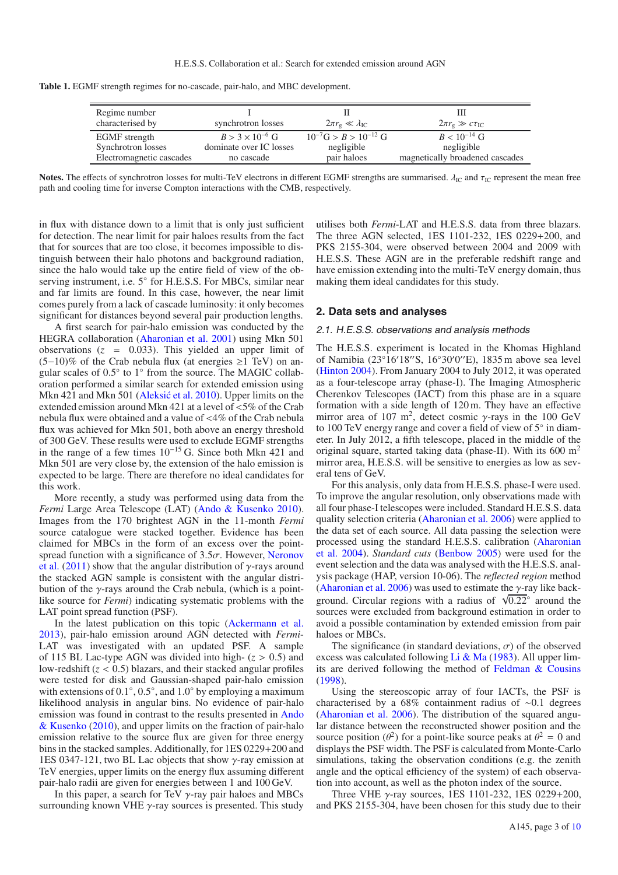**Table 1.** EGMF strength regimes for no-cascade, pair-halo, and MBC development.

| Regime number<br>characterised by | synchrotron losses       | $2\pi r_{\rm g} \ll \lambda_{\rm IC}$ | $2\pi r_{\rm g} \gg c\tau_{\rm IC}$ |
|-----------------------------------|--------------------------|---------------------------------------|-------------------------------------|
| <b>EGMF</b> strength              | $B > 3 \times 10^{-6}$ G | $10^{-7}$ G > B > $10^{-12}$ G        | $B < 10^{-14}$ G                    |
| Synchrotron losses                | dominate over IC losses  | negligible                            | negligible                          |
| Electromagnetic cascades          | no cascade               | pair haloes                           | magnetically broadened cascades     |

**Notes.** The effects of synchrotron losses for multi-TeV electrons in different EGMF strengths are summarised.  $\lambda_{\text{IC}}$  and  $\tau_{\text{IC}}$  represent the mean free path and cooling time for inverse Compton interactions with the CMB, respectively.

in flux with distance down to a limit that is only just sufficient for detection. The near limit for pair haloes results from the fact that for sources that are too close, it becomes impossible to distinguish between their halo photons and background radiation, since the halo would take up the entire field of view of the observing instrument, i.e. 5<sup>°</sup> for H.E.S.S. For MBCs, similar near and far limits are found. In this case, however, the near limit comes purely from a lack of cascade luminosity: it only becomes significant for distances beyond several pair production lengths.

A first search for pair-halo emission was conducted by the HEGRA collaboration (Aharonian et al. 2001) using Mkn 501 observations  $(z = 0.033)$ . This yielded an upper limit of  $(5-10)\%$  of the Crab nebula flux (at energies  $\geq 1$  TeV) on angular scales of 0.5◦ to 1◦ from the source. The MAGIC collaboration performed a similar search for extended emission using Mkn 421 and Mkn 501 (Aleksić et al. 2010). Upper limits on the extended emission around Mkn 421 at a level of <5% of the Crab nebula flux were obtained and a value of <4% of the Crab nebula flux was achieved for Mkn 501, both above an energy threshold of 300 GeV. These results were used to exclude EGMF strengths in the range of a few times  $10^{-15}$  G. Since both Mkn 421 and Mkn 501 are very close by, the extension of the halo emission is expected to be large. There are therefore no ideal candidates for this work.

More recently, a study was performed using data from the *Fermi* Large Area Telescope (LAT) (Ando & Kusenko 2010). Images from the 170 brightest AGN in the 11-month *Fermi* source catalogue were stacked together. Evidence has been claimed for MBCs in the form of an excess over the pointspread function with a significance of  $3.5\sigma$ . However, Neronov et al. (2011) show that the angular distribution of  $\gamma$ -rays around the stacked AGN sample is consistent with the angular distribution of the  $\gamma$ -rays around the Crab nebula, (which is a pointlike source for *Fermi*) indicating systematic problems with the LAT point spread function (PSF).

In the latest publication on this topic (Ackermann et al. 2013), pair-halo emission around AGN detected with *Fermi*-LAT was investigated with an updated PSF. A sample of 115 BL Lac-type AGN was divided into high-  $(z > 0.5)$  and low-redshift (*z* < 0.5) blazars, and their stacked angular profiles were tested for disk and Gaussian-shaped pair-halo emission with extensions of  $0.1°$ ,  $0.5°$ , and  $1.0°$  by employing a maximum likelihood analysis in angular bins. No evidence of pair-halo emission was found in contrast to the results presented in Ando & Kusenko (2010), and upper limits on the fraction of pair-halo emission relative to the source flux are given for three energy bins in the stacked samples. Additionally, for 1ES 0229+200 and 1ES 0347-121, two BL Lac objects that show  $\gamma$ -ray emission at TeV energies, upper limits on the energy flux assuming different pair-halo radii are given for energies between 1 and 100 GeV.

In this paper, a search for TeV  $\gamma$ -ray pair haloes and MBCs surrounding known VHE  $\gamma$ -ray sources is presented. This study utilises both *Fermi*-LAT and H.E.S.S. data from three blazars. The three AGN selected, 1ES 1101-232, 1ES 0229+200, and PKS 2155-304, were observed between 2004 and 2009 with H.E.S.S. These AGN are in the preferable redshift range and have emission extending into the multi-TeV energy domain, thus making them ideal candidates for this study.

### **2. Data sets and analyses**

#### 2.1. H.E.S.S. observations and analysis methods

The H.E.S.S. experiment is located in the Khomas Highland of Namibia (23°16'18"S, 16°30'0"E), 1835 m above sea level (Hinton 2004). From January 2004 to July 2012, it was operated as a four-telescope array (phase-I). The Imaging Atmospheric Cherenkov Telescopes (IACT) from this phase are in a square formation with a side length of 120 m. They have an effective mirror area of 107 m<sup>2</sup>, detect cosmic  $\gamma$ -rays in the 100 GeV to 100 TeV energy range and cover a field of view of 5◦ in diameter. In July 2012, a fifth telescope, placed in the middle of the original square, started taking data (phase-II). With its  $600 \text{ m}^2$ mirror area, H.E.S.S. will be sensitive to energies as low as several tens of GeV.

For this analysis, only data from H.E.S.S. phase-I were used. To improve the angular resolution, only observations made with all four phase-I telescopes were included. Standard H.E.S.S. data quality selection criteria (Aharonian et al. 2006) were applied to the data set of each source. All data passing the selection were processed using the standard H.E.S.S. calibration (Aharonian et al. 2004). *Standard cuts* (Benbow 2005) were used for the event selection and the data was analysed with the H.E.S.S. analysis package (HAP, version 10-06). The *reflected region* method (Aharonian et al. 2006) was used to estimate the  $\gamma$ -ray like background. Circular regions with a radius of  $\sqrt{0.22}$ ° around the sources were excluded from background estimation in order to avoid a possible contamination by extended emission from pair haloes or MBCs.

The significance (in standard deviations,  $\sigma$ ) of the observed excess was calculated following Li  $\&$  Ma (1983). All upper limits are derived following the method of Feldman & Cousins (1998).

Using the stereoscopic array of four IACTs, the PSF is characterised by a 68% containment radius of ∼0.1 degrees (Aharonian et al. 2006). The distribution of the squared angular distance between the reconstructed shower position and the source position ( $\theta^2$ ) for a point-like source peaks at  $\theta^2 = 0$  and displays the PSF width. The PSF is calculated from Monte-Carlo simulations, taking the observation conditions (e.g. the zenith angle and the optical efficiency of the system) of each observation into account, as well as the photon index of the source.

Three VHE γ-ray sources, 1ES 1101-232, 1ES 0229+200, and PKS 2155-304, have been chosen for this study due to their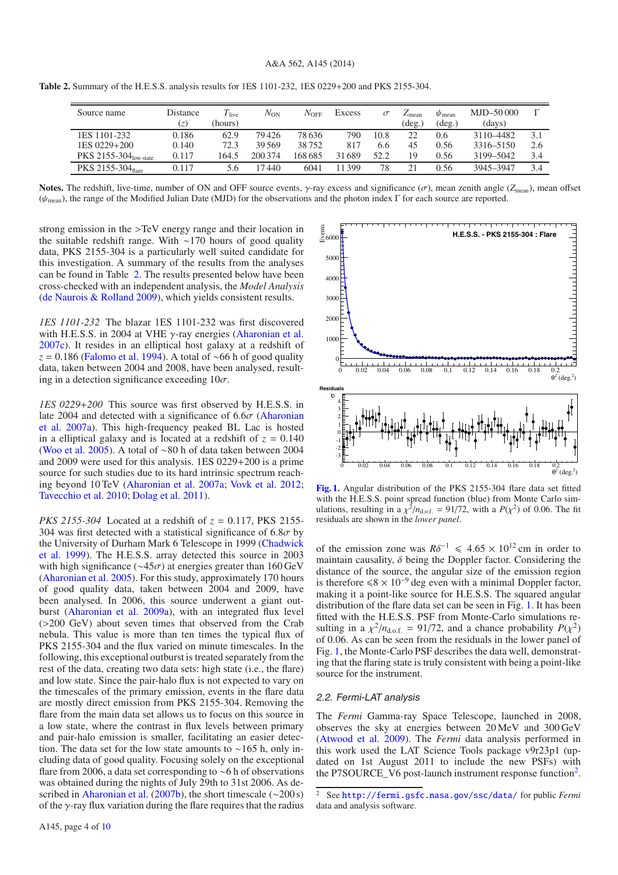| Source name                         | <b>Distance</b> | $T_{\rm live}$ | $N_{\rm ON}$ | $N_{\rm OFF}$ | Excess |      | $L$ <sub>mean</sub> | $\psi$ <sub>mean</sub> | MJD-50 000 |     |
|-------------------------------------|-----------------|----------------|--------------|---------------|--------|------|---------------------|------------------------|------------|-----|
|                                     | (z)             | (hours)        |              |               |        |      | $(\text{deg.})$     | $(\text{deg.})$        | (days)     |     |
| 1ES 1101-232                        | 0.186           | 62.9           | 79426        | 78.636        | 790    | 10.8 | 22                  | 0.6                    | 3110-4482  | 3.1 |
| 1ES 0229+200                        | 0.140           | 72.3           | 39.569       | 38752         | 817    | 6.6  | 45                  | 0.56                   | 3316-5150  | 2.6 |
| $PKS$ 2155-304 <sub>low state</sub> | 0.117           | 164.5          | 200 374      | 168685        | 31689  | 52.2 | 19                  | 0.56                   | 3199-5042  | 3.4 |
| PKS 2155-304 $_{\text{flare}}$      | 0.117           | 5.6            | 440          | 6041          | 1399   | 78   |                     | 0.56                   | 3945-3947  | 3.4 |

**Table 2.** Summary of the H.E.S.S. analysis results for 1ES 1101-232, 1ES 0229+200 and PKS 2155-304.

**Notes.** The redshift, live-time, number of ON and OFF source events,  $\gamma$ -ray excess and significance ( $\sigma$ ), mean zenith angle ( $Z_{mean}$ ), mean offset  $(ψ_{mean})$ , the range of the Modified Julian Date (MJD) for the observations and the photon index Γ for each source are reported.

strong emission in the >TeV energy range and their location in the suitable redshift range. With ∼170 hours of good quality data, PKS 2155-304 is a particularly well suited candidate for this investigation. A summary of the results from the analyses can be found in Table 2. The results presented below have been cross-checked with an independent analysis, the *Model Analysis* (de Naurois & Rolland 2009), which yields consistent results.

*1ES 1101-232* The blazar 1ES 1101-232 was first discovered with H.E.S.S. in 2004 at VHE γ-ray energies (Aharonian et al. 2007c). It resides in an elliptical host galaxy at a redshift of *z* = 0.186 (Falomo et al. 1994). A total of ∼66 h of good quality data, taken between 2004 and 2008, have been analysed, resulting in a detection significance exceeding  $10\sigma$ .

*1ES 0229*+*200* This source was first observed by H.E.S.S. in late 2004 and detected with a significance of  $6.6\sigma$  (Aharonian et al. 2007a). This high-frequency peaked BL Lac is hosted in a elliptical galaxy and is located at a redshift of  $z = 0.140$ (Woo et al. 2005). A total of ∼80 h of data taken between 2004 and 2009 were used for this analysis. 1ES 0229+200 is a prime source for such studies due to its hard intrinsic spectrum reaching beyond 10 TeV (Aharonian et al. 2007a; Vovk et al. 2012; Tavecchio et al. 2010; Dolag et al. 2011).

*PKS 2155-304* Located at a redshift of *z* = 0.117, PKS 2155- 304 was first detected with a statistical significance of 6.8 $\sigma$  by the University of Durham Mark 6 Telescope in 1999 (Chadwick et al. 1999). The H.E.S.S. array detected this source in 2003 with high significance ( $\sim$ 45 $\sigma$ ) at energies greater than 160 GeV (Aharonian et al. 2005). For this study, approximately 170 hours of good quality data, taken between 2004 and 2009, have been analysed. In 2006, this source underwent a giant outburst (Aharonian et al. 2009a), with an integrated flux level (>200 GeV) about seven times that observed from the Crab nebula. This value is more than ten times the typical flux of PKS 2155-304 and the flux varied on minute timescales. In the following, this exceptional outburst is treated separately from the rest of the data, creating two data sets: high state (i.e., the flare) and low state. Since the pair-halo flux is not expected to vary on the timescales of the primary emission, events in the flare data are mostly direct emission from PKS 2155-304. Removing the flare from the main data set allows us to focus on this source in a low state, where the contrast in flux levels between primary and pair-halo emission is smaller, facilitating an easier detection. The data set for the low state amounts to ∼165 h, only including data of good quality. Focusing solely on the exceptional flare from 2006, a data set corresponding to ∼6 h of observations was obtained during the nights of July 29th to 31st 2006. As described in Aharonian et al. (2007b), the short timescale (∼200 s) of the  $\gamma$ -ray flux variation during the flare requires that the radius



**[Fig. 1.](http://dexter.edpsciences.org/applet.php?DOI=10.1051/0004-6361/201322510&pdf_id=1)** Angular distribution of the PKS 2155-304 flare data set fitted with the H.E.S.S. point spread function (blue) from Monte Carlo simulations, resulting in a  $\chi^2/n_{d.o.f.} = 91/72$ , with a  $P(\chi^2)$  of 0.06. The fit residuals are shown in the *lower panel*.

of the emission zone was  $R\delta^{-1} \leq 4.65 \times 10^{12}$  cm in order to maintain causality,  $\delta$  being the Doppler factor. Considering the distance of the source, the angular size of the emission region is therefore  $\le 8 \times 10^{-9}$  deg even with a minimal Doppler factor, making it a point-like source for H.E.S.S. The squared angular distribution of the flare data set can be seen in Fig. 1. It has been fitted with the H.E.S.S. PSF from Monte-Carlo simulations resulting in a  $\chi^2/n_{d.o.f.} = 91/72$ , and a chance probability  $P(\chi^2)$ of 0.06. As can be seen from the residuals in the lower panel of Fig. 1, the Monte-Carlo PSF describes the data well, demonstrating that the flaring state is truly consistent with being a point-like source for the instrument.

#### 2.2. Fermi-LAT analysis

The *Fermi* Gamma-ray Space Telescope, launched in 2008, observes the sky at energies between 20 MeV and 300 GeV (Atwood et al. 2009). The *Fermi* data analysis performed in this work used the LAT Science Tools package v9r23p1 (updated on 1st August 2011 to include the new PSFs) with the P7SOURCE\_V6 post-launch instrument response function2.

<sup>2</sup> See <http://fermi.gsfc.nasa.gov/ssc/data/> for public *Fermi* data and analysis software.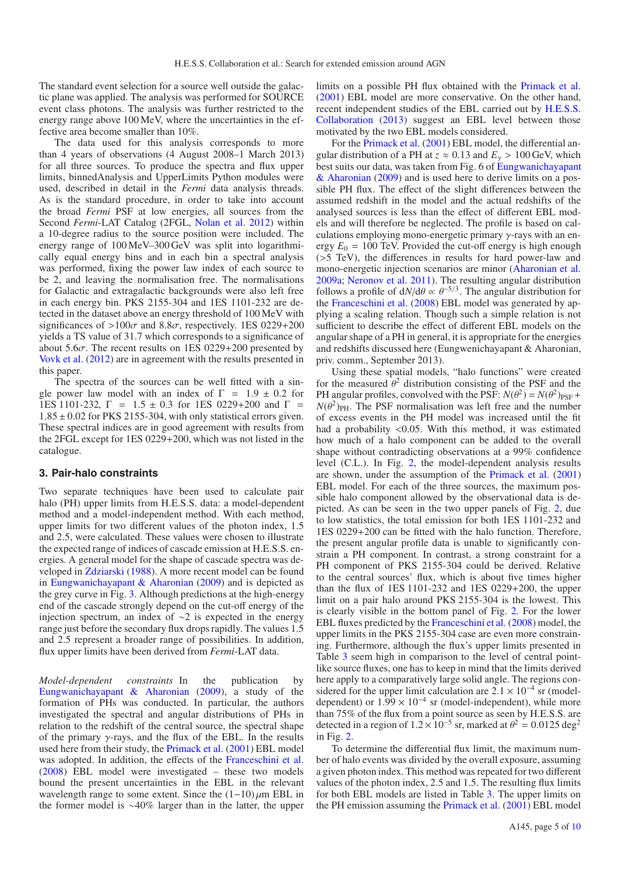The standard event selection for a source well outside the galactic plane was applied. The analysis was performed for SOURCE event class photons. The analysis was further restricted to the energy range above 100 MeV, where the uncertainties in the effective area become smaller than 10%.

The data used for this analysis corresponds to more than 4 years of observations (4 August 2008–1 March 2013) for all three sources. To produce the spectra and flux upper limits, binnedAnalysis and UpperLimits Python modules were used, described in detail in the *Fermi* data analysis threads. As is the standard procedure, in order to take into account the broad *Fermi* PSF at low energies, all sources from the Second *Fermi*-LAT Catalog (2FGL, Nolan et al. 2012) within a 10-degree radius to the source position were included. The energy range of  $100 \,\text{MeV}-300 \,\text{GeV}$  was split into logarithmically equal energy bins and in each bin a spectral analysis was performed, fixing the power law index of each source to be 2, and leaving the normalisation free. The normalisations for Galactic and extragalactic backgrounds were also left free in each energy bin. PKS 2155-304 and 1ES 1101-232 are detected in the dataset above an energy threshold of 100 MeV with significances of  $>100\sigma$  and 8.8 $\sigma$ , respectively. 1ES 0229+200 yields a TS value of 31.7 which corresponds to a significance of about 5.6 $\sigma$ . The recent results on 1ES 0229+200 presented by Vovk et al. (2012) are in agreement with the results presented in this paper.

The spectra of the sources can be well fitted with a single power law model with an index of  $\Gamma = 1.9 \pm 0.2$  for 1ES 1101-232,  $\Gamma = 1.5 \pm 0.3$  for 1ES 0229+200 and  $\Gamma =$  $1.85 \pm 0.02$  for PKS 2155-304, with only statistical errors given. These spectral indices are in good agreement with results from the 2FGL except for 1ES 0229+200, which was not listed in the catalogue.

### **3. Pair-halo constraints**

Two separate techniques have been used to calculate pair halo (PH) upper limits from H.E.S.S. data: a model-dependent method and a model-independent method. With each method, upper limits for two different values of the photon index, 1.5 and 2.5, were calculated. These values were chosen to illustrate the expected range of indices of cascade emission at H.E.S.S. energies. A general model for the shape of cascade spectra was developed in Zdziarski (1988). A more recent model can be found in Eungwanichayapant & Aharonian (2009) and is depicted as the grey curve in Fig. 3. Although predictions at the high-energy end of the cascade strongly depend on the cut-off energy of the injection spectrum, an index of ∼2 is expected in the energy range just before the secondary flux drops rapidly. The values 1.5 and 2.5 represent a broader range of possibilities. In addition, flux upper limits have been derived from *Fermi*-LAT data.

*Model-dependent constraints* In the publication by Eungwanichayapant & Aharonian (2009), a study of the formation of PHs was conducted. In particular, the authors investigated the spectral and angular distributions of PHs in relation to the redshift of the central source, the spectral shape of the primary  $\gamma$ -rays, and the flux of the EBL. In the results used here from their study, the Primack et al. (2001) EBL model was adopted. In addition, the effects of the Franceschini et al. (2008) EBL model were investigated – these two models bound the present uncertainties in the EBL in the relevant wavelength range to some extent. Since the  $(1-10)\mu$ m EBL in the former model is ∼40% larger than in the latter, the upper limits on a possible PH flux obtained with the Primack et al. (2001) EBL model are more conservative. On the other hand, recent independent studies of the EBL carried out by H.E.S.S. Collaboration (2013) suggest an EBL level between those motivated by the two EBL models considered.

For the Primack et al. (2001) EBL model, the differential angular distribution of a PH at  $z \approx 0.13$  and  $E<sub>y</sub> > 100$  GeV, which best suits our data, was taken from Fig. 6 of Eungwanichayapant & Aharonian (2009) and is used here to derive limits on a possible PH flux. The effect of the slight differences between the assumed redshift in the model and the actual redshifts of the analysed sources is less than the effect of different EBL models and will therefore be neglected. The profile is based on calculations employing mono-energetic primary  $\gamma$ -rays with an energy  $E_0 = 100$  TeV. Provided the cut-off energy is high enough (>5 TeV), the differences in results for hard power-law and mono-energetic injection scenarios are minor (Aharonian et al. 2009a; Neronov et al. 2011). The resulting angular distribution follows a profile of  $dN/d\theta \propto \theta^{-5/3}$ . The angular distribution for the Franceschini et al. (2008) EBL model was generated by applying a scaling relation. Though such a simple relation is not sufficient to describe the effect of different EBL models on the angular shape of a PH in general, it is appropriate for the energies and redshifts discussed here (Eungwenichayapant & Aharonian, priv. comm., September 2013).

Using these spatial models, "halo functions" were created for the measured  $\theta^2$  distribution consisting of the PSF and the PH angular profiles, convolved with the PSF:  $N(\theta^2) = N(\theta^2)_{PSF}$ +  $N(\theta^2)_{\text{PH}}$ . The PSF normalisation was left free and the number of excess events in the PH model was increased until the fit had a probability <0.05. With this method, it was estimated how much of a halo component can be added to the overall shape without contradicting observations at a 99% confidence level (C.L.). In Fig. 2, the model-dependent analysis results are shown, under the assumption of the Primack et al. (2001) EBL model. For each of the three sources, the maximum possible halo component allowed by the observational data is depicted. As can be seen in the two upper panels of Fig. 2, due to low statistics, the total emission for both 1ES 1101-232 and 1ES 0229+200 can be fitted with the halo function. Therefore, the present angular profile data is unable to significantly constrain a PH component. In contrast, a strong constraint for a PH component of PKS 2155-304 could be derived. Relative to the central sources' flux, which is about five times higher than the flux of 1ES 1101-232 and 1ES 0229+200, the upper limit on a pair halo around PKS 2155-304 is the lowest. This is clearly visible in the bottom panel of Fig. 2. For the lower EBL fluxes predicted by the Franceschini et al. (2008) model, the upper limits in the PKS 2155-304 case are even more constraining. Furthermore, although the flux's upper limits presented in Table 3 seem high in comparison to the level of central pointlike source fluxes, one has to keep in mind that the limits derived here apply to a comparatively large solid angle. The regions considered for the upper limit calculation are  $2.1 \times 10^{-4}$  sr (modeldependent) or  $1.99 \times 10^{-4}$  sr (model-independent), while more than 75% of the flux from a point source as seen by H.E.S.S. are detected in a region of  $1.2 \times 10^{-5}$  sr, marked at  $\theta^2 = 0.0125 \text{ deg}^2$ in Fig. 2.

To determine the differential flux limit, the maximum number of halo events was divided by the overall exposure, assuming a given photon index. This method was repeated for two different values of the photon index, 2.5 and 1.5. The resulting flux limits for both EBL models are listed in Table 3. The upper limits on the PH emission assuming the Primack et al. (2001) EBL model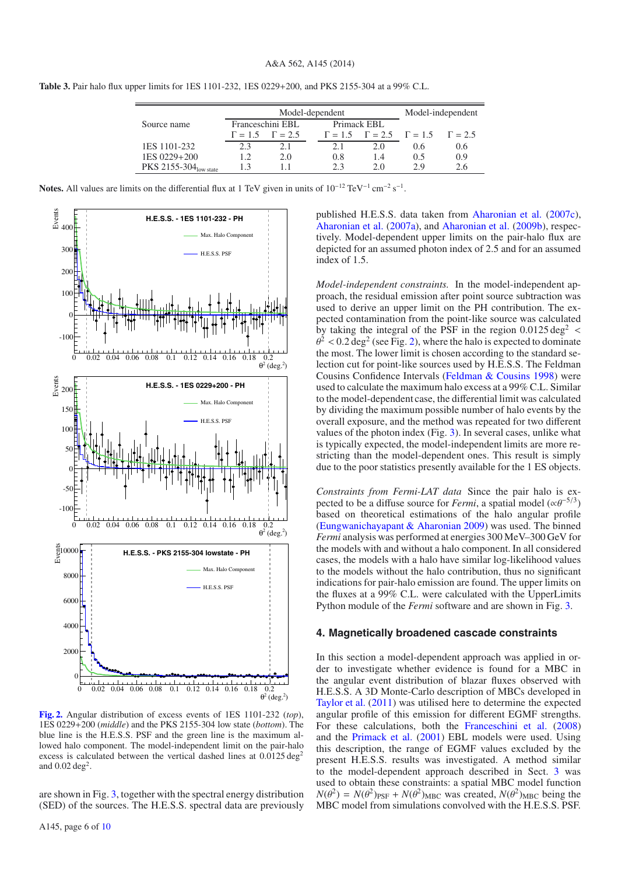| <b>Table 3.</b> Pair halo flux upper limits for 1ES 1101-232, 1ES 0229+200, and PKS 2155-304 at a 99% C.L. |
|------------------------------------------------------------------------------------------------------------|
|------------------------------------------------------------------------------------------------------------|

|                                    |     | Model-dependent               | Model-independent |                                                      |     |                |
|------------------------------------|-----|-------------------------------|-------------------|------------------------------------------------------|-----|----------------|
| Source name                        |     | Franceschini EBL              | Primack EBL       |                                                      |     |                |
|                                    |     | $\Gamma = 1.5$ $\Gamma = 2.5$ |                   | $\Gamma = 1.5 \quad \Gamma = 2.5 \quad \Gamma = 1.5$ |     | $\Gamma = 2.5$ |
| 1ES 1101-232                       | う 3 | 21                            |                   | 20                                                   | 0.6 | 0.6            |
| 1ES 0229+200                       |     | 2.0                           | 0.8               | 1.4                                                  | 0.5 | 0.9            |
| PKS 2155-304 $_{\text{low state}}$ |     |                               | う 3               | 20                                                   | 29  | 2.6            |

Notes. All values are limits on the differential flux at 1 TeV given in units of 10<sup>-12</sup> TeV<sup>-1</sup> cm<sup>-2</sup> s<sup>-1</sup>.



**[Fig. 2.](http://dexter.edpsciences.org/applet.php?DOI=10.1051/0004-6361/201322510&pdf_id=2)** Angular distribution of excess events of 1ES 1101-232 (*top*), 1ES 0229+200 (*middle*) and the PKS 2155-304 low state (*bottom*). The blue line is the H.E.S.S. PSF and the green line is the maximum allowed halo component. The model-independent limit on the pair-halo excess is calculated between the vertical dashed lines at  $0.0125 \text{ deg}^2$ and  $0.02 \text{ deg}^2$ .

are shown in Fig. 3, together with the spectral energy distribution (SED) of the sources. The H.E.S.S. spectral data are previously published H.E.S.S. data taken from Aharonian et al. (2007c), Aharonian et al. (2007a), and Aharonian et al. (2009b), respectively. Model-dependent upper limits on the pair-halo flux are depicted for an assumed photon index of 2.5 and for an assumed index of 1.5.

*Model-independent constraints.* In the model-independent approach, the residual emission after point source subtraction was used to derive an upper limit on the PH contribution. The expected contamination from the point-like source was calculated by taking the integral of the PSF in the region  $0.0125 \text{ deg}^2$  <  $\theta^2$  < 0.2 deg<sup>2</sup> (see Fig. 2), where the halo is expected to dominate the most. The lower limit is chosen according to the standard selection cut for point-like sources used by H.E.S.S. The Feldman Cousins Confidence Intervals (Feldman & Cousins 1998) were used to calculate the maximum halo excess at a 99% C.L. Similar to the model-dependent case, the differential limit was calculated by dividing the maximum possible number of halo events by the overall exposure, and the method was repeated for two different values of the photon index (Fig. 3). In several cases, unlike what is typically expected, the model-independent limits are more restricting than the model-dependent ones. This result is simply due to the poor statistics presently available for the 1 ES objects.

*Constraints from Fermi-LAT data* Since the pair halo is expected to be a diffuse source for *Fermi*, a spatial model ( $\alpha \theta^{-5/3}$ ) based on theoretical estimations of the halo angular profile (Eungwanichayapant & Aharonian 2009) was used. The binned *Fermi* analysis was performed at energies 300 MeV–300 GeV for the models with and without a halo component. In all considered cases, the models with a halo have similar log-likelihood values to the models without the halo contribution, thus no significant indications for pair-halo emission are found. The upper limits on the fluxes at a 99% C.L. were calculated with the UpperLimits Python module of the *Fermi* software and are shown in Fig. 3.

### **4. Magnetically broadened cascade constraints**

In this section a model-dependent approach was applied in order to investigate whether evidence is found for a MBC in the angular event distribution of blazar fluxes observed with H.E.S.S. A 3D Monte-Carlo description of MBCs developed in Taylor et al. (2011) was utilised here to determine the expected angular profile of this emission for different EGMF strengths. For these calculations, both the Franceschini et al. (2008) and the Primack et al. (2001) EBL models were used. Using this description, the range of EGMF values excluded by the present H.E.S.S. results was investigated. A method similar to the model-dependent approach described in Sect. 3 was used to obtain these constraints: a spatial MBC model function  $N(\theta^2) = N(\theta^2)_{\text{PSF}} + N(\theta^2)_{\text{MBC}}$  was created,  $N(\theta^2)_{\text{MBC}}$  being the MBC model from simulations convolved with the H.E.S.S. PSF.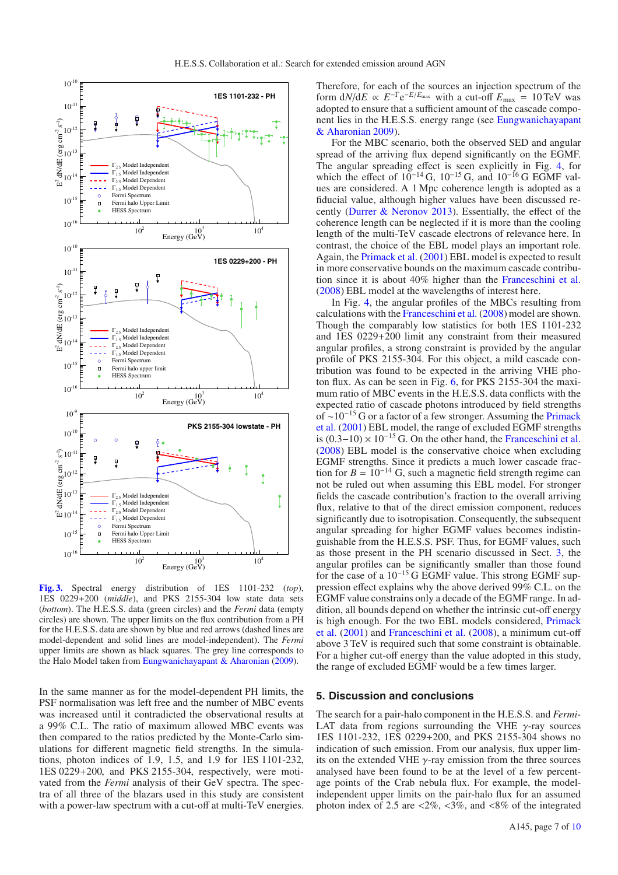

**[Fig. 3.](http://dexter.edpsciences.org/applet.php?DOI=10.1051/0004-6361/201322510&pdf_id=3)** Spectral energy distribution of 1ES 1101-232 (*top*), 1ES 0229+200 (*middle*), and PKS 2155-304 low state data sets (*bottom*). The H.E.S.S. data (green circles) and the *Fermi* data (empty circles) are shown. The upper limits on the flux contribution from a PH for the H.E.S.S. data are shown by blue and red arrows (dashed lines are model-dependent and solid lines are model-independent). The *Fermi* upper limits are shown as black squares. The grey line corresponds to the Halo Model taken from Eungwanichayapant & Aharonian (2009).

In the same manner as for the model-dependent PH limits, the PSF normalisation was left free and the number of MBC events was increased until it contradicted the observational results at a 99% C.L. The ratio of maximum allowed MBC events was then compared to the ratios predicted by the Monte-Carlo simulations for different magnetic field strengths. In the simulations, photon indices of 1.9, 1.5, and 1.9 for 1ES 1101-232, 1ES 0229+200, and PKS 2155-304, respectively, were motivated from the *Fermi* analysis of their GeV spectra. The spectra of all three of the blazars used in this study are consistent with a power-law spectrum with a cut-off at multi-TeV energies. Therefore, for each of the sources an injection spectrum of the form  $dN/dE \propto E^{-\Gamma} e^{-E/E_{\text{max}}}$  with a cut-off  $E_{\text{max}} = 10 \text{ TeV}$  was adopted to ensure that a sufficient amount of the cascade component lies in the H.E.S.S. energy range (see Eungwanichayapant & Aharonian 2009).

For the MBC scenario, both the observed SED and angular spread of the arriving flux depend significantly on the EGMF. The angular spreading effect is seen explicitly in Fig. 4, for which the effect of  $10^{-14}$  G,  $10^{-15}$  G, and  $10^{-16}$  G EGMF values are considered. A 1 Mpc coherence length is adopted as a fiducial value, although higher values have been discussed recently (Durrer & Neronov 2013). Essentially, the effect of the coherence length can be neglected if it is more than the cooling length of the multi-TeV cascade electrons of relevance here. In contrast, the choice of the EBL model plays an important role. Again, the Primack et al. (2001) EBL model is expected to result in more conservative bounds on the maximum cascade contribution since it is about 40% higher than the Franceschini et al. (2008) EBL model at the wavelengths of interest here.

In Fig. 4, the angular profiles of the MBCs resulting from calculations with the Franceschini et al. (2008) model are shown. Though the comparably low statistics for both 1ES 1101-232 and 1ES 0229+200 limit any constraint from their measured angular profiles, a strong constraint is provided by the angular profile of PKS 2155-304. For this object, a mild cascade contribution was found to be expected in the arriving VHE photon flux. As can be seen in Fig. 6, for PKS 2155-304 the maximum ratio of MBC events in the H.E.S.S. data conflicts with the expected ratio of cascade photons introduced by field strengths of <sup>∼</sup>10−<sup>15</sup> G or a factor of a few stronger. Assuming the Primack et al. (2001) EBL model, the range of excluded EGMF strengths is  $(0.3-10) \times 10^{-15}$  G. On the other hand, the Franceschini et al. (2008) EBL model is the conservative choice when excluding EGMF strengths. Since it predicts a much lower cascade fraction for  $B = 10^{-14}$  G, such a magnetic field strength regime can not be ruled out when assuming this EBL model. For stronger fields the cascade contribution's fraction to the overall arriving flux, relative to that of the direct emission component, reduces significantly due to isotropisation. Consequently, the subsequent angular spreading for higher EGMF values becomes indistinguishable from the H.E.S.S. PSF. Thus, for EGMF values, such as those present in the PH scenario discussed in Sect. 3, the angular profiles can be significantly smaller than those found for the case of a 10−<sup>15</sup> G EGMF value. This strong EGMF suppression effect explains why the above derived 99% C.L. on the EGMF value constrains only a decade of the EGMF range. In addition, all bounds depend on whether the intrinsic cut-off energy is high enough. For the two EBL models considered, Primack et al. (2001) and Franceschini et al. (2008), a minimum cut-off above 3 TeV is required such that some constraint is obtainable. For a higher cut-off energy than the value adopted in this study, the range of excluded EGMF would be a few times larger.

#### **5. Discussion and conclusions**

The search for a pair-halo component in the H.E.S.S. and *Fermi*-LAT data from regions surrounding the VHE  $\gamma$ -ray sources 1ES 1101-232, 1ES 0229+200, and PKS 2155-304 shows no indication of such emission. From our analysis, flux upper limits on the extended VHE  $\gamma$ -ray emission from the three sources analysed have been found to be at the level of a few percentage points of the Crab nebula flux. For example, the modelindependent upper limits on the pair-halo flux for an assumed photon index of 2.5 are  $\langle 2\%, \langle 3\%, \rangle$  and  $\langle 8\% \rangle$  of the integrated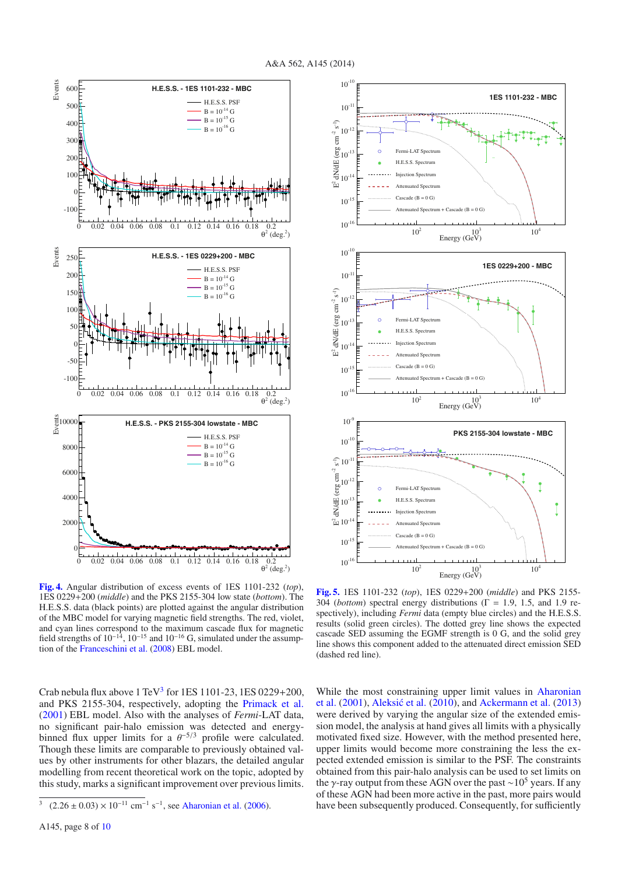$s^{-1}$ 

 $^2$  dN/dE (erg cm  $^{2}$ 

ਓ 10<sup>-14</sup><br>ਘ

 $10^{-13}$ 

Fermi-LAT Spectrum H.E.S.S. Spectrum Injection Spectrum  $\overline{A}$  $de (B = 0 G)$ 

Attenuated Spectrum + Cascade (B = 0 G)

 $10^{-12}$ 

 $10^{-1}$ 

 $10^{-1}$ 

 $10^{-1}$ 

-16 10

 $10^{1}$ 



**[Fig. 4.](http://dexter.edpsciences.org/applet.php?DOI=10.1051/0004-6361/201322510&pdf_id=4)** Angular distribution of excess events of 1ES 1101-232 (*top*), 1ES 0229+200 (*middle*) and the PKS 2155-304 low state (*bottom*). The H.E.S.S. data (black points) are plotted against the angular distribution of the MBC model for varying magnetic field strengths. The red, violet, and cyan lines correspond to the maximum cascade flux for magnetic field strengths of  $10^{-14}$ ,  $10^{-15}$  and  $10^{-16}$  G, simulated under the assumption of the Franceschini et al. (2008) EBL model.

Crab nebula flux above 1 TeV<sup>3</sup> for 1ES 1101-23, 1ES 0229+200, and PKS 2155-304, respectively, adopting the Primack et al. (2001) EBL model. Also with the analyses of *Fermi*-LAT data, no significant pair-halo emission was detected and energybinned flux upper limits for a  $\theta^{-5/3}$  profile were calculated. Though these limits are comparable to previously obtained values by other instruments for other blazars, the detailed angular modelling from recent theoretical work on the topic, adopted by this study, marks a significant improvement over previous limits.



 $10^{2}$  Energy (GeV)  $10^{3}$   $10^{4}$ 

**1ES 1101-232 - MBC**

**1ES 0229+200 - MBC**

**[Fig. 5.](http://dexter.edpsciences.org/applet.php?DOI=10.1051/0004-6361/201322510&pdf_id=5)** 1ES 1101-232 (*top*), 1ES 0229+200 (*middle*) and PKS 2155- 304 (*bottom*) spectral energy distributions (Γ = 1.9, 1.5, and 1.9 respectively), including *Fermi* data (empty blue circles) and the H.E.S.S. results (solid green circles). The dotted grey line shows the expected cascade SED assuming the EGMF strength is 0 G, and the solid grey line shows this component added to the attenuated direct emission SED (dashed red line).

While the most constraining upper limit values in Aharonian et al.  $(2001)$ , Aleksić et al.  $(2010)$ , and Ackermann et al.  $(2013)$ were derived by varying the angular size of the extended emission model, the analysis at hand gives all limits with a physically motivated fixed size. However, with the method presented here, upper limits would become more constraining the less the expected extended emission is similar to the PSF. The constraints obtained from this pair-halo analysis can be used to set limits on the γ-ray output from these AGN over the past ~10<sup>5</sup> years. If any of these AGN had been more active in the past, more pairs would have been subsequently produced. Consequently, for sufficiently

 $(2.26 \pm 0.03) \times 10^{-11}$  cm<sup>-1</sup> s<sup>-1</sup>, see Aharonian et al. (2006).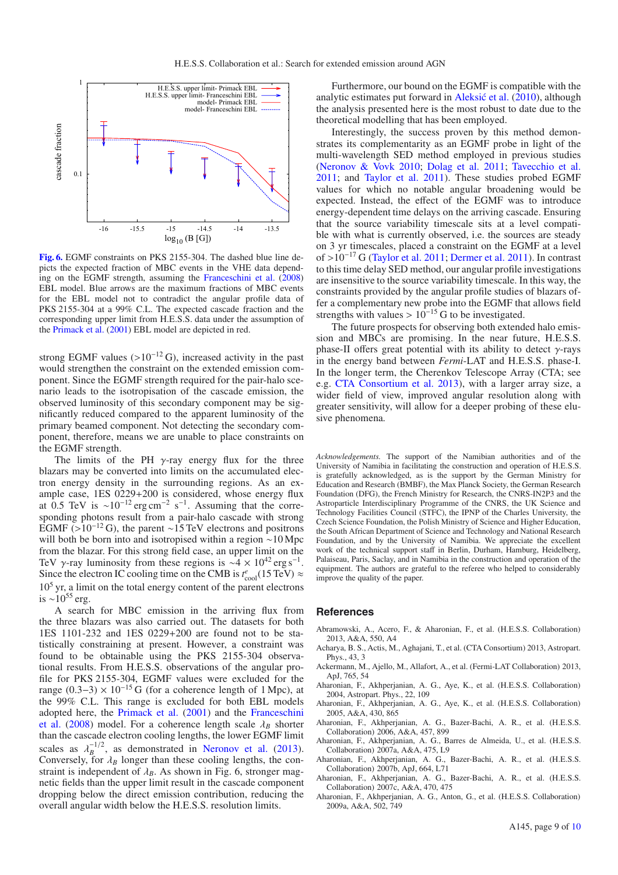

**[Fig. 6.](http://dexter.edpsciences.org/applet.php?DOI=10.1051/0004-6361/201322510&pdf_id=6)** EGMF constraints on PKS 2155-304. The dashed blue line depicts the expected fraction of MBC events in the VHE data depending on the EGMF strength, assuming the Franceschini et al. (2008) EBL model. Blue arrows are the maximum fractions of MBC events for the EBL model not to contradict the angular profile data of PKS 2155-304 at a 99% C.L. The expected cascade fraction and the corresponding upper limit from H.E.S.S. data under the assumption of the Primack et al. (2001) EBL model are depicted in red.

strong EGMF values (>10<sup>-12</sup> G), increased activity in the past would strengthen the constraint on the extended emission component. Since the EGMF strength required for the pair-halo scenario leads to the isotropisation of the cascade emission, the observed luminosity of this secondary component may be significantly reduced compared to the apparent luminosity of the primary beamed component. Not detecting the secondary component, therefore, means we are unable to place constraints on the EGMF strength.

The limits of the PH  $\gamma$ -ray energy flux for the three blazars may be converted into limits on the accumulated electron energy density in the surrounding regions. As an example case, 1ES 0229+200 is considered, whose energy flux at 0.5 TeV is  $\sim 10^{-12}$  erg cm<sup>-2</sup> s<sup>-1</sup>. Assuming that the corresponding photons result from a pair-halo cascade with strong EGMF (> $10^{-12}$  G), the parent ∼15 TeV electrons and positrons will both be born into and isotropised within a region ∼10 Mpc from the blazar. For this strong field case, an upper limit on the TeV γ-ray luminosity from these regions is  $\sim 4 \times 10^{42}$  erg s<sup>-1</sup>. Since the electron IC cooling time on the CMB is  $t_{\rm cool}^e(15 \,\text{TeV}) \approx$  $10<sup>5</sup>$  yr, a limit on the total energy content of the parent electrons is  $∼10^{55}$  erg.

A search for MBC emission in the arriving flux from the three blazars was also carried out. The datasets for both 1ES 1101-232 and 1ES 0229+200 are found not to be statistically constraining at present. However, a constraint was found to be obtainable using the PKS 2155-304 observational results. From H.E.S.S. observations of the angular profile for PKS 2155-304, EGMF values were excluded for the range  $(0.3-3) \times 10^{-15}$  G (for a coherence length of 1 Mpc), at the 99% C.L. This range is excluded for both EBL models adopted here, the Primack et al. (2001) and the Franceschini et al. (2008) model. For a coherence length scale  $\lambda_B$  shorter than the cascade electron cooling lengths, the lower EGMF limit scales as  $\lambda_B^{-1/2}$ , as demonstrated in Neronov et al. (2013). Conversely, for  $\lambda_B$  longer than these cooling lengths, the constraint is independent of  $\lambda_B$ . As shown in Fig. 6, stronger magnetic fields than the upper limit result in the cascade component dropping below the direct emission contribution, reducing the overall angular width below the H.E.S.S. resolution limits.

Furthermore, our bound on the EGMF is compatible with the analytic estimates put forward in Aleksić et al. (2010), although the analysis presented here is the most robust to date due to the theoretical modelling that has been employed.

Interestingly, the success proven by this method demonstrates its complementarity as an EGMF probe in light of the multi-wavelength SED method employed in previous studies (Neronov & Vovk 2010; Dolag et al. 2011; Tavecchio et al. 2011; and Taylor et al. 2011). These studies probed EGMF values for which no notable angular broadening would be expected. Instead, the effect of the EGMF was to introduce energy-dependent time delays on the arriving cascade. Ensuring that the source variability timescale sits at a level compatible with what is currently observed, i.e. the sources are steady on 3 yr timescales, placed a constraint on the EGMF at a level of >10−<sup>17</sup> G (Taylor et al. 2011; Dermer et al. 2011). In contrast to this time delay SED method, our angular profile investigations are insensitive to the source variability timescale. In this way, the constraints provided by the angular profile studies of blazars offer a complementary new probe into the EGMF that allows field strengths with values >  $10^{-15}$  G to be investigated.

The future prospects for observing both extended halo emission and MBCs are promising. In the near future, H.E.S.S. phase-II offers great potential with its ability to detect  $\gamma$ -rays in the energy band between *Fermi*-LAT and H.E.S.S. phase-I. In the longer term, the Cherenkov Telescope Array (CTA; see e.g. CTA Consortium et al. 2013), with a larger array size, a wider field of view, improved angular resolution along with greater sensitivity, will allow for a deeper probing of these elusive phenomena.

*Acknowledgements.* The support of the Namibian authorities and of the University of Namibia in facilitating the construction and operation of H.E.S.S. is gratefully acknowledged, as is the support by the German Ministry for Education and Research (BMBF), the Max Planck Society, the German Research Foundation (DFG), the French Ministry for Research, the CNRS-IN2P3 and the Astroparticle Interdisciplinary Programme of the CNRS, the UK Science and Technology Facilities Council (STFC), the IPNP of the Charles University, the Czech Science Foundation, the Polish Ministry of Science and Higher Education, the South African Department of Science and Technology and National Research Foundation, and by the University of Namibia. We appreciate the excellent work of the technical support staff in Berlin, Durham, Hamburg, Heidelberg, Palaiseau, Paris, Saclay, and in Namibia in the construction and operation of the equipment. The authors are grateful to the referee who helped to considerably improve the quality of the paper.

#### **References**

- Abramowski, A., Acero, F., & Aharonian, F., et al. (H.E.S.S. Collaboration) 2013, A&A, 550, A4
- Acharya, B. S., Actis, M., Aghajani, T., et al. (CTA Consortium) 2013, Astropart. Phys., 43, 3
- Ackermann, M., Ajello, M., Allafort, A., et al. (Fermi-LAT Collaboration) 2013, ApJ, 765, 54
- Aharonian, F., Akhperjanian, A. G., Aye, K., et al. (H.E.S.S. Collaboration) 2004, Astropart. Phys., 22, 109
- Aharonian, F., Akhperjanian, A. G., Aye, K., et al. (H.E.S.S. Collaboration) 2005, A&A, 430, 865
- Aharonian, F., Akhperjanian, A. G., Bazer-Bachi, A. R., et al. (H.E.S.S. Collaboration) 2006, A&A, 457, 899
- Aharonian, F., Akhperjanian, A. G., Barres de Almeida, U., et al. (H.E.S.S. Collaboration) 2007a, A&A, 475, L9
- Aharonian, F., Akhperjanian, A. G., Bazer-Bachi, A. R., et al. (H.E.S.S. Collaboration) 2007b, ApJ, 664, L71
- Aharonian, F., Akhperjanian, A. G., Bazer-Bachi, A. R., et al. (H.E.S.S. Collaboration) 2007c, A&A, 470, 475
- Aharonian, F., Akhperjanian, A. G., Anton, G., et al. (H.E.S.S. Collaboration) 2009a, A&A, 502, 749